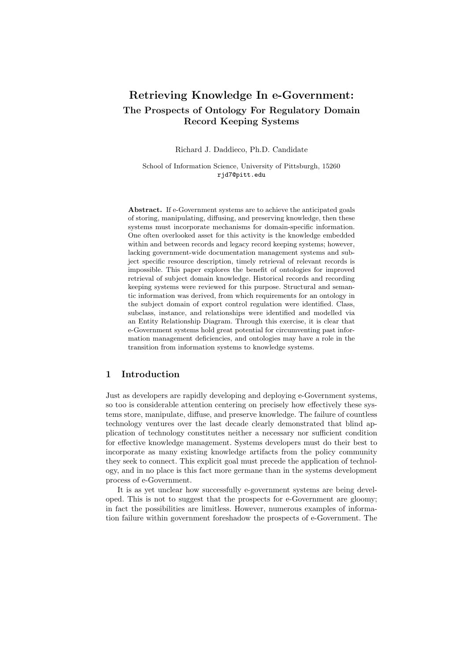# Retrieving Knowledge In e-Government: The Prospects of Ontology For Regulatory Domain Record Keeping Systems

Richard J. Daddieco, Ph.D. Candidate

School of Information Science, University of Pittsburgh, 15260 rjd7@pitt.edu

Abstract. If e-Government systems are to achieve the anticipated goals of storing, manipulating, diffusing, and preserving knowledge, then these systems must incorporate mechanisms for domain-specific information. One often overlooked asset for this activity is the knowledge embedded within and between records and legacy record keeping systems; however, lacking government-wide documentation management systems and subject specific resource description, timely retrieval of relevant records is impossible. This paper explores the benefit of ontologies for improved retrieval of subject domain knowledge. Historical records and recording keeping systems were reviewed for this purpose. Structural and semantic information was derived, from which requirements for an ontology in the subject domain of export control regulation were identified. Class, subclass, instance, and relationships were identified and modelled via an Entity Relationship Diagram. Through this exercise, it is clear that e-Government systems hold great potential for circumventing past information management deficiencies, and ontologies may have a role in the transition from information systems to knowledge systems.

## 1 Introduction

Just as developers are rapidly developing and deploying e-Government systems, so too is considerable attention centering on precisely how effectively these systems store, manipulate, diffuse, and preserve knowledge. The failure of countless technology ventures over the last decade clearly demonstrated that blind application of technology constitutes neither a necessary nor sufficient condition for effective knowledge management. Systems developers must do their best to incorporate as many existing knowledge artifacts from the policy community they seek to connect. This explicit goal must precede the application of technology, and in no place is this fact more germane than in the systems development process of e-Government.

It is as yet unclear how successfully e-government systems are being developed. This is not to suggest that the prospects for e-Government are gloomy; in fact the possibilities are limitless. However, numerous examples of information failure within government foreshadow the prospects of e-Government. The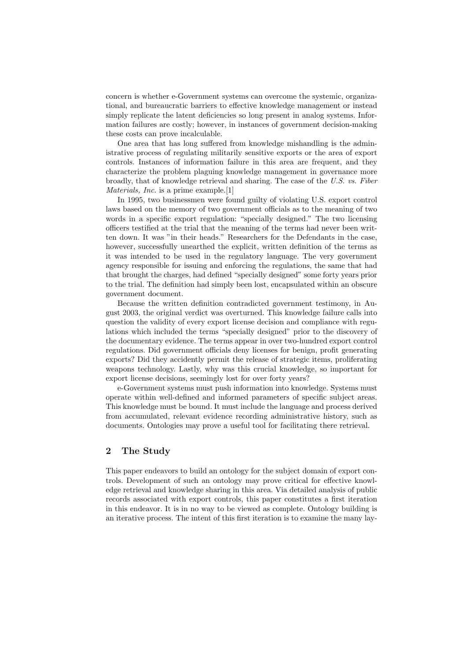concern is whether e-Government systems can overcome the systemic, organizational, and bureaucratic barriers to effective knowledge management or instead simply replicate the latent deficiencies so long present in analog systems. Information failures are costly; however, in instances of government decision-making these costs can prove incalculable.

One area that has long suffered from knowledge mishandling is the administrative process of regulating militarily sensitive exports or the area of export controls. Instances of information failure in this area are frequent, and they characterize the problem plaguing knowledge management in governance more broadly, that of knowledge retrieval and sharing. The case of the U.S. vs. Fiber Materials, Inc. is a prime example.[1]

In 1995, two businessmen were found guilty of violating U.S. export control laws based on the memory of two government officials as to the meaning of two words in a specific export regulation: "specially designed." The two licensing officers testified at the trial that the meaning of the terms had never been written down. It was "in their heads." Researchers for the Defendants in the case, however, successfully unearthed the explicit, written definition of the terms as it was intended to be used in the regulatory language. The very government agency responsible for issuing and enforcing the regulations, the same that had that brought the charges, had defined "specially designed" some forty years prior to the trial. The definition had simply been lost, encapsulated within an obscure government document.

Because the written definition contradicted government testimony, in August 2003, the original verdict was overturned. This knowledge failure calls into question the validity of every export license decision and compliance with regulations which included the terms "specially designed" prior to the discovery of the documentary evidence. The terms appear in over two-hundred export control regulations. Did government officials deny licenses for benign, profit generating exports? Did they accidently permit the release of strategic items, proliferating weapons technology. Lastly, why was this crucial knowledge, so important for export license decisions, seemingly lost for over forty years?

e-Government systems must push information into knowledge. Systems must operate within well-defined and informed parameters of specific subject areas. This knowledge must be bound. It must include the language and process derived from accumulated, relevant evidence recording administrative history, such as documents. Ontologies may prove a useful tool for facilitating there retrieval.

## 2 The Study

This paper endeavors to build an ontology for the subject domain of export controls. Development of such an ontology may prove critical for effective knowledge retrieval and knowledge sharing in this area. Via detailed analysis of public records associated with export controls, this paper constitutes a first iteration in this endeavor. It is in no way to be viewed as complete. Ontology building is an iterative process. The intent of this first iteration is to examine the many lay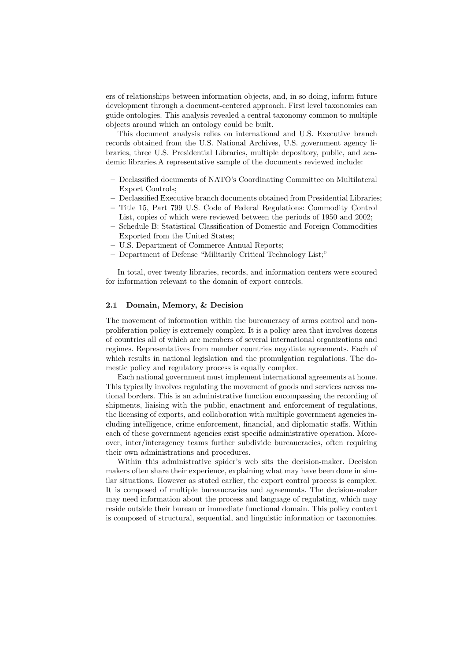ers of relationships between information objects, and, in so doing, inform future development through a document-centered approach. First level taxonomies can guide ontologies. This analysis revealed a central taxonomy common to multiple objects around which an ontology could be built.

This document analysis relies on international and U.S. Executive branch records obtained from the U.S. National Archives, U.S. government agency libraries, three U.S. Presidential Libraries, multiple depository, public, and academic libraries.A representative sample of the documents reviewed include:

- Declassified documents of NATO's Coordinating Committee on Multilateral Export Controls;
- Declassified Executive branch documents obtained from Presidential Libraries;
- Title 15, Part 799 U.S. Code of Federal Regulations: Commodity Control List, copies of which were reviewed between the periods of 1950 and 2002;
- Schedule B: Statistical Classification of Domestic and Foreign Commodities Exported from the United States;
- U.S. Department of Commerce Annual Reports;
- Department of Defense "Militarily Critical Technology List;"

In total, over twenty libraries, records, and information centers were scoured for information relevant to the domain of export controls.

#### 2.1 Domain, Memory, & Decision

The movement of information within the bureaucracy of arms control and nonproliferation policy is extremely complex. It is a policy area that involves dozens of countries all of which are members of several international organizations and regimes. Representatives from member countries negotiate agreements. Each of which results in national legislation and the promulgation regulations. The domestic policy and regulatory process is equally complex.

Each national government must implement international agreements at home. This typically involves regulating the movement of goods and services across national borders. This is an administrative function encompassing the recording of shipments, liaising with the public, enactment and enforcement of regulations, the licensing of exports, and collaboration with multiple government agencies including intelligence, crime enforcement, financial, and diplomatic staffs. Within each of these government agencies exist specific administrative operation. Moreover, inter/interagency teams further subdivide bureaucracies, often requiring their own administrations and procedures.

Within this administrative spider's web sits the decision-maker. Decision makers often share their experience, explaining what may have been done in similar situations. However as stated earlier, the export control process is complex. It is composed of multiple bureaucracies and agreements. The decision-maker may need information about the process and language of regulating, which may reside outside their bureau or immediate functional domain. This policy context is composed of structural, sequential, and linguistic information or taxonomies.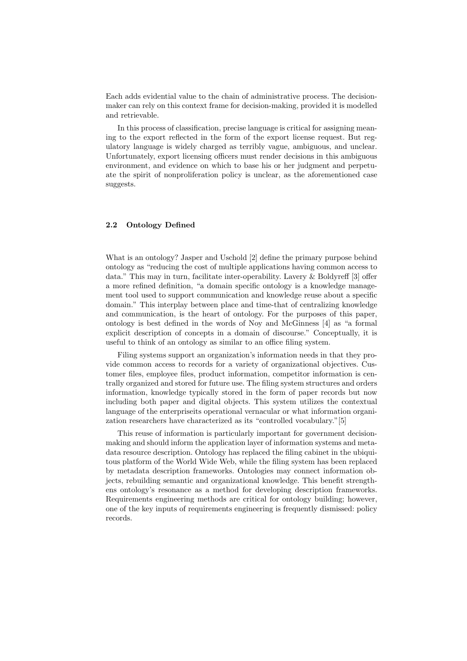Each adds evidential value to the chain of administrative process. The decisionmaker can rely on this context frame for decision-making, provided it is modelled and retrievable.

In this process of classification, precise language is critical for assigning meaning to the export reflected in the form of the export license request. But regulatory language is widely charged as terribly vague, ambiguous, and unclear. Unfortunately, export licensing officers must render decisions in this ambiguous environment, and evidence on which to base his or her judgment and perpetuate the spirit of nonproliferation policy is unclear, as the aforementioned case suggests.

#### 2.2 Ontology Defined

What is an ontology? Jasper and Uschold [2] define the primary purpose behind ontology as "reducing the cost of multiple applications having common access to data." This may in turn, facilitate inter-operability. Lavery & Boldyreff [3] offer a more refined definition, "a domain specific ontology is a knowledge management tool used to support communication and knowledge reuse about a specific domain." This interplay between place and time-that of centralizing knowledge and communication, is the heart of ontology. For the purposes of this paper, ontology is best defined in the words of Noy and McGinness [4] as "a formal explicit description of concepts in a domain of discourse." Conceptually, it is useful to think of an ontology as similar to an office filing system.

Filing systems support an organization's information needs in that they provide common access to records for a variety of organizational objectives. Customer files, employee files, product information, competitor information is centrally organized and stored for future use. The filing system structures and orders information, knowledge typically stored in the form of paper records but now including both paper and digital objects. This system utilizes the contextual language of the enterpriseits operational vernacular or what information organization researchers have characterized as its "controlled vocabulary."[5]

This reuse of information is particularly important for government decisionmaking and should inform the application layer of information systems and metadata resource description. Ontology has replaced the filing cabinet in the ubiquitous platform of the World Wide Web, while the filing system has been replaced by metadata description frameworks. Ontologies may connect information objects, rebuilding semantic and organizational knowledge. This benefit strengthens ontology's resonance as a method for developing description frameworks. Requirements engineering methods are critical for ontology building; however, one of the key inputs of requirements engineering is frequently dismissed: policy records.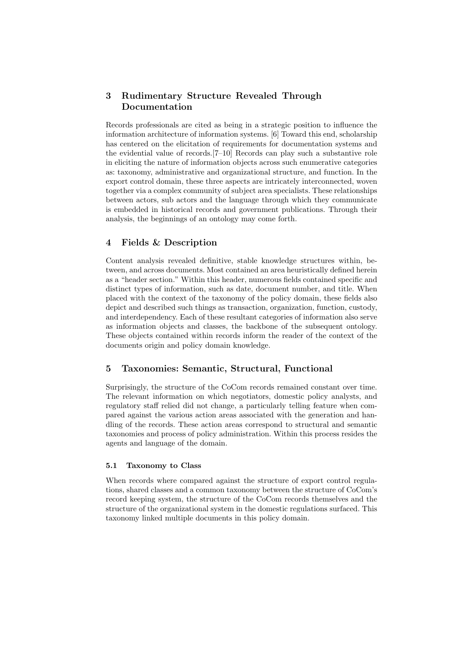## 3 Rudimentary Structure Revealed Through Documentation

Records professionals are cited as being in a strategic position to influence the information architecture of information systems. [6] Toward this end, scholarship has centered on the elicitation of requirements for documentation systems and the evidential value of records.[7–10] Records can play such a substantive role in eliciting the nature of information objects across such enumerative categories as: taxonomy, administrative and organizational structure, and function. In the export control domain, these three aspects are intricately interconnected, woven together via a complex community of subject area specialists. These relationships between actors, sub actors and the language through which they communicate is embedded in historical records and government publications. Through their analysis, the beginnings of an ontology may come forth.

## 4 Fields & Description

Content analysis revealed definitive, stable knowledge structures within, between, and across documents. Most contained an area heuristically defined herein as a "header section." Within this header, numerous fields contained specific and distinct types of information, such as date, document number, and title. When placed with the context of the taxonomy of the policy domain, these fields also depict and described such things as transaction, organization, function, custody, and interdependency. Each of these resultant categories of information also serve as information objects and classes, the backbone of the subsequent ontology. These objects contained within records inform the reader of the context of the documents origin and policy domain knowledge.

### 5 Taxonomies: Semantic, Structural, Functional

Surprisingly, the structure of the CoCom records remained constant over time. The relevant information on which negotiators, domestic policy analysts, and regulatory staff relied did not change, a particularly telling feature when compared against the various action areas associated with the generation and handling of the records. These action areas correspond to structural and semantic taxonomies and process of policy administration. Within this process resides the agents and language of the domain.

#### 5.1 Taxonomy to Class

When records where compared against the structure of export control regulations, shared classes and a common taxonomy between the structure of CoCom's record keeping system, the structure of the CoCom records themselves and the structure of the organizational system in the domestic regulations surfaced. This taxonomy linked multiple documents in this policy domain.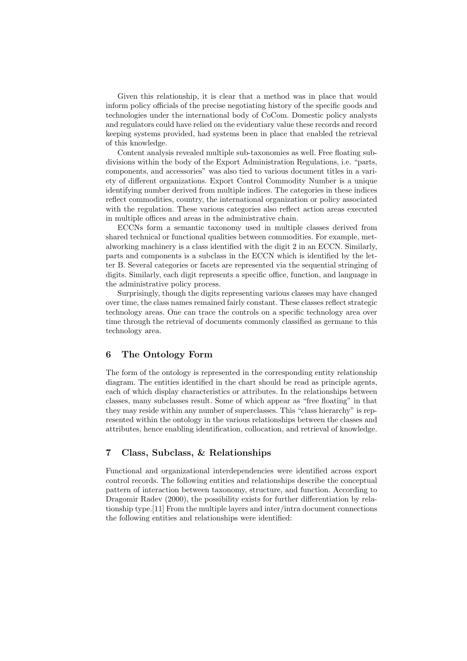Given this relationship, it is clear that a method was in place that would inform policy officials of the precise negotiating history of the specific goods and technologies under the international body of CoCom. Domestic policy analysts and regulators could have relied on the evidentiary value these records and record keeping systems provided, had systems been in place that enabled the retrieval of this knowledge.

Content analysis revealed multiple sub-taxonomies as well. Free floating subdivisions within the body of the Export Administration Regulations, i.e. "parts, components, and accessories" was also tied to various document titles in a variety of different organizations. Export Control Commodity Number is a unique identifying number derived from multiple indices. The categories in these indices reflect commodities, country, the international organization or policy associated with the regulation. These various categories also reflect action areas executed in multiple offices and areas in the administrative chain.

ECCNs form a semantic taxonomy used in multiple classes derived from shared technical or functional qualities between commodities. For example, metalworking machinery is a class identified with the digit 2 in an ECCN. Similarly, parts and components is a subclass in the ECCN which is identified by the letter B. Several categories or facets are represented via the sequential stringing of digits. Similarly, each digit represents a specific office, function, and language in the administrative policy process.

Surprisingly, though the digits representing various classes may have changed over time, the class names remained fairly constant. These classes reflect strategic technology areas. One can trace the controls on a specific technology area over time through the retrieval of documents commonly classified as germane to this technology area.

### 6 The Ontology Form

The form of the ontology is represented in the corresponding entity relationship diagram. The entities identified in the chart should be read as principle agents, each of which display characteristics or attributes. In the relationships between classes, many subclasses result. Some of which appear as "free floating" in that they may reside within any number of superclasses. This "class hierarchy" is represented within the ontology in the various relationships between the classes and attributes, hence enabling identification, collocation, and retrieval of knowledge.

#### 7 Class, Subclass, & Relationships

Functional and organizational interdependencies were identified across export control records. The following entities and relationships describe the conceptual pattern of interaction between taxonomy, structure, and function. According to Dragomir Radev (2000), the possibility exists for further differentiation by relationship type.[11] From the multiple layers and inter/intra document connections the following entities and relationships were identified: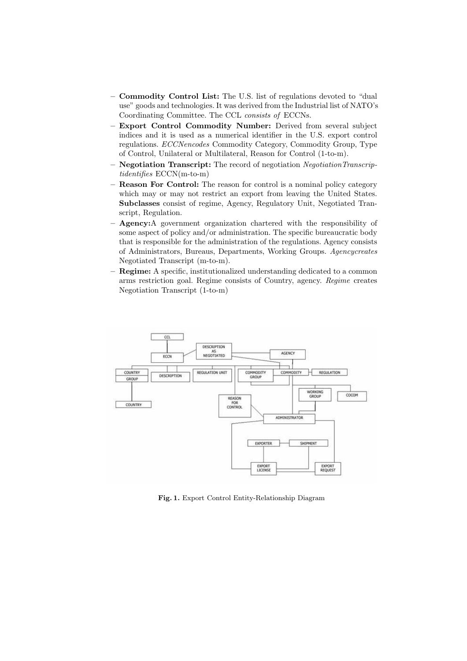- Commodity Control List: The U.S. list of regulations devoted to "dual use" goods and technologies. It was derived from the Industrial list of NATO's Coordinating Committee. The CCL consists of ECCNs.
- Export Control Commodity Number: Derived from several subject indices and it is used as a numerical identifier in the U.S. export control regulations. ECCNencodes Commodity Category, Commodity Group, Type of Control, Unilateral or Multilateral, Reason for Control (1-to-m).
- Negotiation Transcript: The record of negotiation NegotiationTranscriptidentifies ECCN(m-to-m)
- Reason For Control: The reason for control is a nominal policy category which may or may not restrict an export from leaving the United States. Subclasses consist of regime, Agency, Regulatory Unit, Negotiated Transcript, Regulation.
- Agency:A government organization chartered with the responsibility of some aspect of policy and/or administration. The specific bureaucratic body that is responsible for the administration of the regulations. Agency consists of Administrators, Bureaus, Departments, Working Groups. Agencycreates Negotiated Transcript (m-to-m).
- Regime: A specific, institutionalized understanding dedicated to a common arms restriction goal. Regime consists of Country, agency. Regime creates Negotiation Transcript (1-to-m)



Fig. 1. Export Control Entity-Relationship Diagram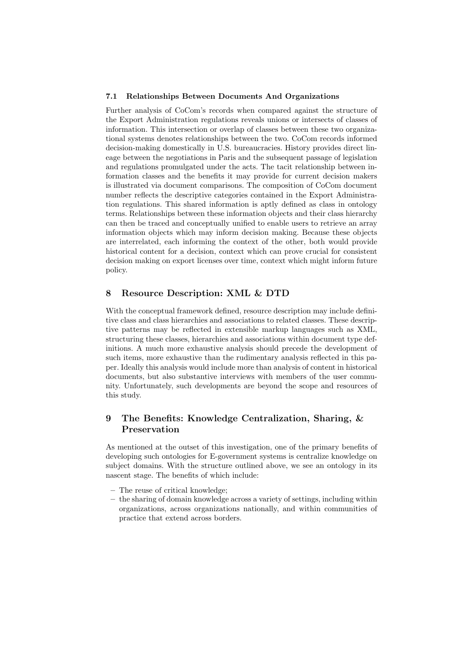#### 7.1 Relationships Between Documents And Organizations

Further analysis of CoCom's records when compared against the structure of the Export Administration regulations reveals unions or intersects of classes of information. This intersection or overlap of classes between these two organizational systems denotes relationships between the two. CoCom records informed decision-making domestically in U.S. bureaucracies. History provides direct lineage between the negotiations in Paris and the subsequent passage of legislation and regulations promulgated under the acts. The tacit relationship between information classes and the benefits it may provide for current decision makers is illustrated via document comparisons. The composition of CoCom document number reflects the descriptive categories contained in the Export Administration regulations. This shared information is aptly defined as class in ontology terms. Relationships between these information objects and their class hierarchy can then be traced and conceptually unified to enable users to retrieve an array information objects which may inform decision making. Because these objects are interrelated, each informing the context of the other, both would provide historical content for a decision, context which can prove crucial for consistent decision making on export licenses over time, context which might inform future policy.

### 8 Resource Description: XML & DTD

With the conceptual framework defined, resource description may include definitive class and class hierarchies and associations to related classes. These descriptive patterns may be reflected in extensible markup languages such as XML, structuring these classes, hierarchies and associations within document type definitions. A much more exhaustive analysis should precede the development of such items, more exhaustive than the rudimentary analysis reflected in this paper. Ideally this analysis would include more than analysis of content in historical documents, but also substantive interviews with members of the user community. Unfortunately, such developments are beyond the scope and resources of this study.

## 9 The Benefits: Knowledge Centralization, Sharing, & Preservation

As mentioned at the outset of this investigation, one of the primary benefits of developing such ontologies for E-government systems is centralize knowledge on subject domains. With the structure outlined above, we see an ontology in its nascent stage. The benefits of which include:

- The reuse of critical knowledge;
- the sharing of domain knowledge across a variety of settings, including within organizations, across organizations nationally, and within communities of practice that extend across borders.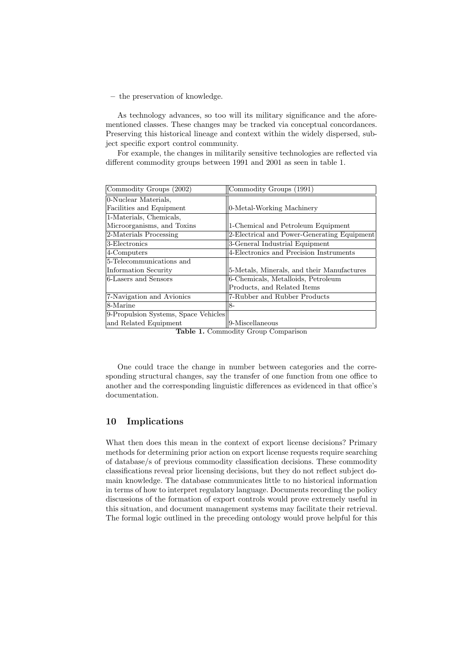#### – the preservation of knowledge.

As technology advances, so too will its military significance and the aforementioned classes. These changes may be tracked via conceptual concordances. Preserving this historical lineage and context within the widely dispersed, subject specific export control community.

For example, the changes in militarily sensitive technologies are reflected via different commodity groups between 1991 and 2001 as seen in table 1.

| Commodity Groups (2002)              | Commodity Groups (1991)                     |
|--------------------------------------|---------------------------------------------|
| 0-Nuclear Materials.                 |                                             |
| Facilities and Equipment             | 0-Metal-Working Machinery                   |
| 1-Materials, Chemicals,              |                                             |
| Microorganisms, and Toxins           | 1-Chemical and Petroleum Equipment          |
| 2-Materials Processing               | 2-Electrical and Power-Generating Equipment |
| 3-Electronics                        | 3-General Industrial Equipment              |
| 4-Computers                          | 4-Electronics and Precision Instruments     |
| 5-Telecommunications and             |                                             |
| Information Security                 | 5-Metals, Minerals, and their Manufactures  |
| 6-Lasers and Sensors                 | 6-Chemicals, Metalloids, Petroleum          |
|                                      | Products, and Related Items                 |
| 7-Navigation and Avionics            | 7-Rubber and Rubber Products                |
| 8-Marine                             | $8-$                                        |
| 9-Propulsion Systems, Space Vehicles |                                             |
| and Related Equipment<br>$m+1+2$     | 9-Miscellaneous<br>$\mathbf{P}$<br>$\sim$   |

Table 1. Commodity Group Comparison

One could trace the change in number between categories and the corresponding structural changes, say the transfer of one function from one office to another and the corresponding linguistic differences as evidenced in that office's documentation.

## 10 Implications

What then does this mean in the context of export license decisions? Primary methods for determining prior action on export license requests require searching of database/s of previous commodity classification decisions. These commodity classifications reveal prior licensing decisions, but they do not reflect subject domain knowledge. The database communicates little to no historical information in terms of how to interpret regulatory language. Documents recording the policy discussions of the formation of export controls would prove extremely useful in this situation, and document management systems may facilitate their retrieval. The formal logic outlined in the preceding ontology would prove helpful for this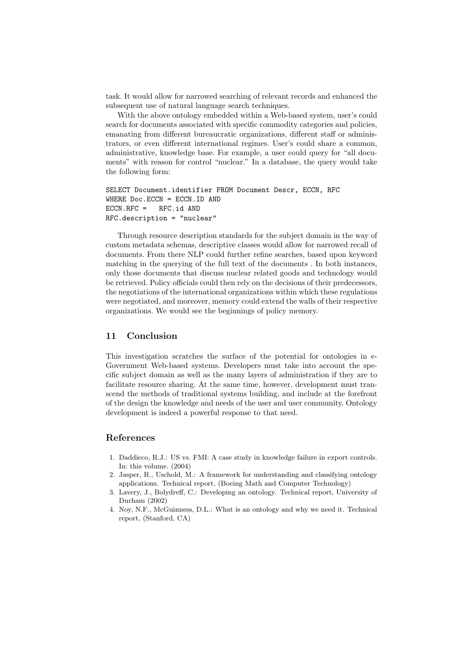task. It would allow for narrowed searching of relevant records and enhanced the subsequent use of natural language search techniques.

With the above ontology embedded within a Web-based system, user's could search for documents associated with specific commodity categories and policies, emanating from different bureaucratic organizations, different staff or administrators, or even different international regimes. User's could share a common, administrative, knowledge base. For example, a user could query for "all documents" with reason for control "nuclear." In a database, the query would take the following form:

```
SELECT Document.identifier FROM Document Descr, ECCN, RFC
WHERE Doc.ECCN = ECCN.ID AND
ECCN.RFC = RFC.id AND
RFC.description = "nuclear"
```
Through resource description standards for the subject domain in the way of custom metadata schemas, descriptive classes would allow for narrowed recall of documents. From there NLP could further refine searches, based upon keyword matching in the querying of the full text of the documents . In both instances, only those documents that discuss nuclear related goods and technology would be retrieved. Policy officials could then rely on the decisions of their predecessors, the negotiations of the international organizations within which these regulations were negotiated, and moreover, memory could extend the walls of their respective organizations. We would see the beginnings of policy memory.

### 11 Conclusion

This investigation scratches the surface of the potential for ontologies in e-Government Web-based systems. Developers must take into account the specific subject domain as well as the many layers of administration if they are to facilitate resource sharing. At the same time, however, development must transcend the methods of traditional systems building, and include at the forefront of the design the knowledge and needs of the user and user community. Ontology development is indeed a powerful response to that need.

#### References

- 1. Daddieco, R.J.: US vs. FMI: A case study in knowledge failure in export controls. In: this volume. (2004)
- 2. Jasper, R., Uschold, M.: A framework for understanding and classifying ontology applications. Technical report, (Boeing Math and Computer Technology)
- 3. Lavery, J., Bolydreff, C.: Developing an ontology. Technical report, University of Durham (2002)
- 4. Noy, N.F., McGuinness, D.L.: What is an ontology and why we need it. Technical report, (Stanford, CA)